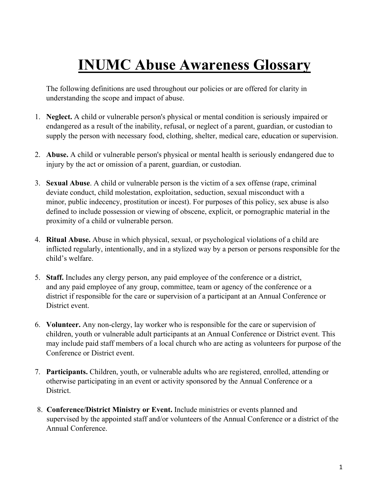## **INUMC Abuse Awareness Glossary**

The following definitions are used throughout our policies or are offered for clarity in understanding the scope and impact of abuse.

- 1. **Neglect.** A child or vulnerable person's physical or mental condition is seriously impaired or endangered as a result of the inability, refusal, or neglect of a parent, guardian, or custodian to supply the person with necessary food, clothing, shelter, medical care, education or supervision.
- 2. **Abuse.** A child or vulnerable person's physical or mental health is seriously endangered due to injury by the act or omission of a parent, guardian, or custodian.
- 3. **Sexual Abuse**. A child or vulnerable person is the victim of a sex offense (rape, criminal deviate conduct, child molestation, exploitation, seduction, sexual misconduct with a minor, public indecency, prostitution or incest). For purposes of this policy, sex abuse is also defined to include possession or viewing of obscene, explicit, or pornographic material in the proximity of a child or vulnerable person.
- 4. **Ritual Abuse.** Abuse in which physical, sexual, or psychological violations of a child are inflicted regularly, intentionally, and in a stylized way by a person or persons responsible for the child's welfare.
- 5. **Staff.** Includes any clergy person, any paid employee of the conference or a district, and any paid employee of any group, committee, team or agency of the conference or a district if responsible for the care or supervision of a participant at an Annual Conference or District event.
- 6. **Volunteer.** Any non-clergy, lay worker who is responsible for the care or supervision of children, youth or vulnerable adult participants at an Annual Conference or District event. This may include paid staff members of a local church who are acting as volunteers for purpose of the Conference or District event.
- 7. **Participants.** Children, youth, or vulnerable adults who are registered, enrolled, attending or otherwise participating in an event or activity sponsored by the Annual Conference or a District.
- 8. **Conference/District Ministry or Event.** Include ministries or events planned and supervised by the appointed staff and/or volunteers of the Annual Conference or a district of the Annual Conference.